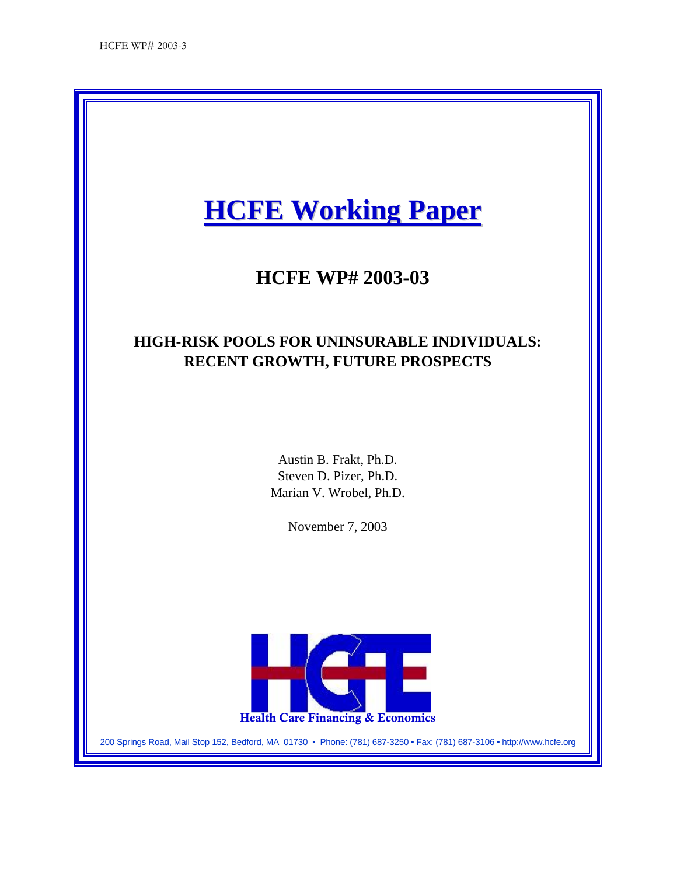# **HCFE Working Paper**

## **HCFE WP# 2003-03**

## **HIGH-RISK POOLS FOR UNINSURABLE INDIVIDUALS: RECENT GROWTH, FUTURE PROSPECTS**

Austin B. Frakt, Ph.D. Steven D. Pizer, Ph.D. Marian V. Wrobel, Ph.D.

November 7, 2003



200 Springs Road, Mail Stop 152, Bedford, MA 01730 • Phone: (781) 687-3250 • Fax: (781) 687-3106 • http://www.hcfe.org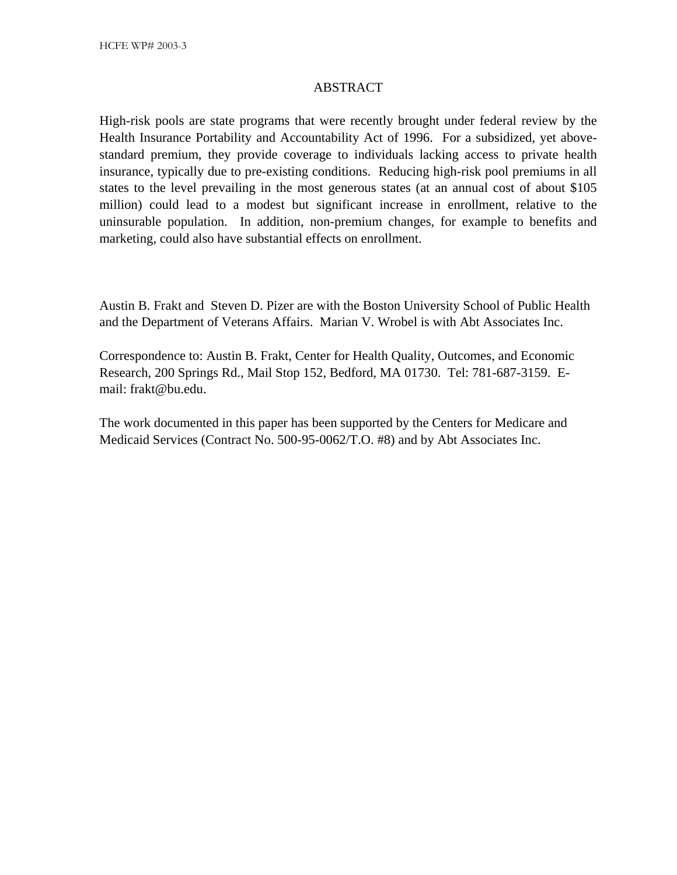#### ABSTRACT

High-risk pools are state programs that were recently brought under federal review by the Health Insurance Portability and Accountability Act of 1996. For a subsidized, yet abovestandard premium, they provide coverage to individuals lacking access to private health insurance, typically due to pre-existing conditions. Reducing high-risk pool premiums in all states to the level prevailing in the most generous states (at an annual cost of about \$105 million) could lead to a modest but significant increase in enrollment, relative to the uninsurable population. In addition, non-premium changes, for example to benefits and marketing, could also have substantial effects on enrollment.

Austin B. Frakt and Steven D. Pizer are with the Boston University School of Public Health and the Department of Veterans Affairs. Marian V. Wrobel is with Abt Associates Inc.

Correspondence to: Austin B. Frakt, Center for Health Quality, Outcomes, and Economic Research, 200 Springs Rd., Mail Stop 152, Bedford, MA 01730. Tel: 781-687-3159. Email: frakt@bu.edu.

The work documented in this paper has been supported by the Centers for Medicare and Medicaid Services (Contract No. 500-95-0062/T.O. #8) and by Abt Associates Inc.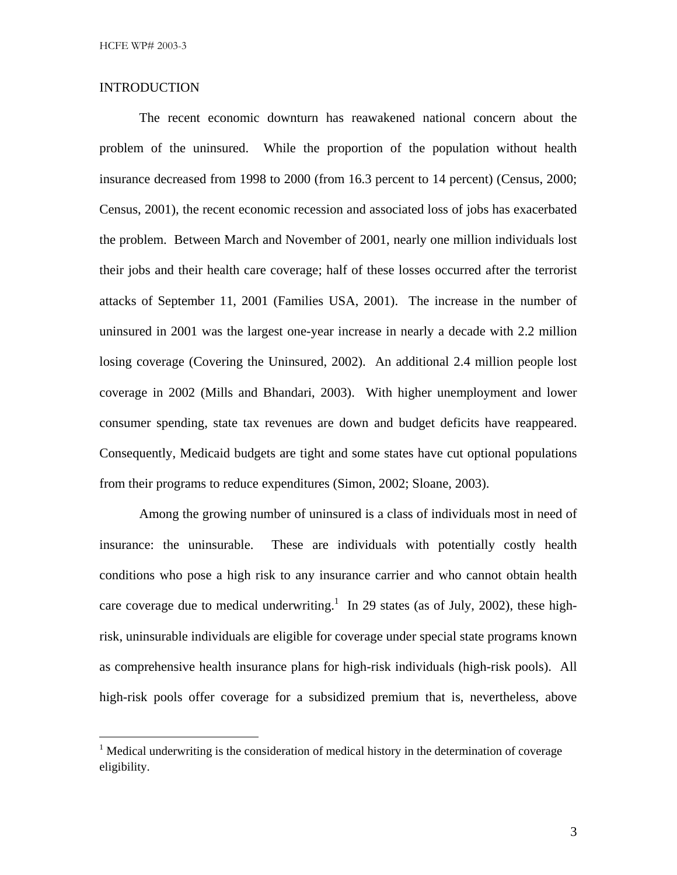#### INTRODUCTION

The recent economic downturn has reawakened national concern about the problem of the uninsured. While the proportion of the population without health insurance decreased from 1998 to 2000 (from 16.3 percent to 14 percent) (Census, 2000; Census, 2001), the recent economic recession and associated loss of jobs has exacerbated the problem. Between March and November of 2001, nearly one million individuals lost their jobs and their health care coverage; half of these losses occurred after the terrorist attacks of September 11, 2001 (Families USA, 2001). The increase in the number of uninsured in 2001 was the largest one-year increase in nearly a decade with 2.2 million losing coverage (Covering the Uninsured, 2002). An additional 2.4 million people lost coverage in 2002 (Mills and Bhandari, 2003). With higher unemployment and lower consumer spending, state tax revenues are down and budget deficits have reappeared. Consequently, Medicaid budgets are tight and some states have cut optional populations from their programs to reduce expenditures (Simon, 2002; Sloane, 2003).

Among the growing number of uninsured is a class of individuals most in need of insurance: the uninsurable. These are individuals with potentially costly health conditions who pose a high risk to any insurance carrier and who cannot obtain health care coverage due to medical underwriting.<sup>1</sup> In 29 states (as of July, 2002), these highrisk, uninsurable individuals are eligible for coverage under special state programs known as comprehensive health insurance plans for high-risk individuals (high-risk pools). All high-risk pools offer coverage for a subsidized premium that is, nevertheless, above

 $\frac{1}{1}$  $1$  Medical underwriting is the consideration of medical history in the determination of coverage eligibility.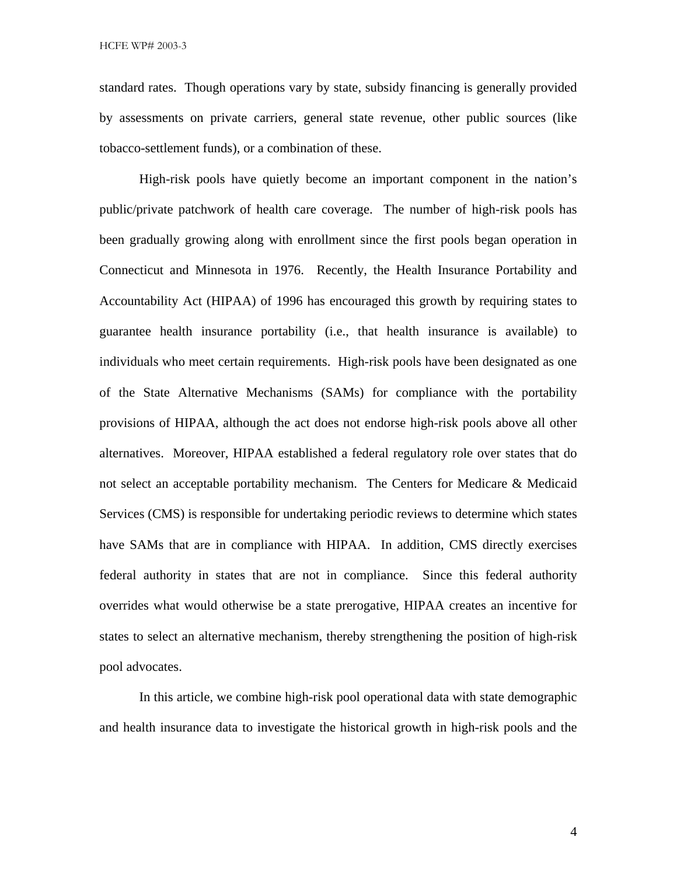standard rates. Though operations vary by state, subsidy financing is generally provided by assessments on private carriers, general state revenue, other public sources (like tobacco-settlement funds), or a combination of these.

High-risk pools have quietly become an important component in the nation's public/private patchwork of health care coverage. The number of high-risk pools has been gradually growing along with enrollment since the first pools began operation in Connecticut and Minnesota in 1976. Recently, the Health Insurance Portability and Accountability Act (HIPAA) of 1996 has encouraged this growth by requiring states to guarantee health insurance portability (i.e., that health insurance is available) to individuals who meet certain requirements. High-risk pools have been designated as one of the State Alternative Mechanisms (SAMs) for compliance with the portability provisions of HIPAA, although the act does not endorse high-risk pools above all other alternatives. Moreover, HIPAA established a federal regulatory role over states that do not select an acceptable portability mechanism. The Centers for Medicare & Medicaid Services (CMS) is responsible for undertaking periodic reviews to determine which states have SAMs that are in compliance with HIPAA. In addition, CMS directly exercises federal authority in states that are not in compliance. Since this federal authority overrides what would otherwise be a state prerogative, HIPAA creates an incentive for states to select an alternative mechanism, thereby strengthening the position of high-risk pool advocates.

In this article, we combine high-risk pool operational data with state demographic and health insurance data to investigate the historical growth in high-risk pools and the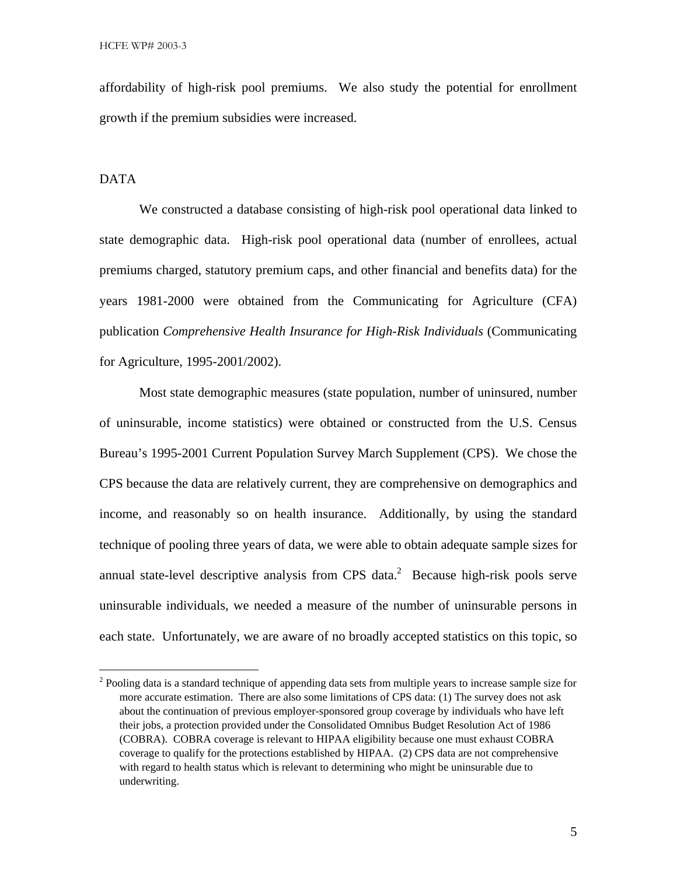affordability of high-risk pool premiums. We also study the potential for enrollment growth if the premium subsidies were increased.

#### DATA

We constructed a database consisting of high-risk pool operational data linked to state demographic data. High-risk pool operational data (number of enrollees, actual premiums charged, statutory premium caps, and other financial and benefits data) for the years 1981-2000 were obtained from the Communicating for Agriculture (CFA) publication *Comprehensive Health Insurance for High-Risk Individuals* (Communicating for Agriculture, 1995-2001/2002).

Most state demographic measures (state population, number of uninsured, number of uninsurable, income statistics) were obtained or constructed from the U.S. Census Bureau's 1995-2001 Current Population Survey March Supplement (CPS). We chose the CPS because the data are relatively current, they are comprehensive on demographics and income, and reasonably so on health insurance. Additionally, by using the standard technique of pooling three years of data, we were able to obtain adequate sample sizes for annual state-level descriptive analysis from CPS data.<sup>2</sup> Because high-risk pools serve uninsurable individuals, we needed a measure of the number of uninsurable persons in each state. Unfortunately, we are aware of no broadly accepted statistics on this topic, so

 $\frac{1}{2}$ <sup>2</sup> Pooling data is a standard technique of appending data sets from multiple years to increase sample size for more accurate estimation. There are also some limitations of CPS data: (1) The survey does not ask about the continuation of previous employer-sponsored group coverage by individuals who have left their jobs, a protection provided under the Consolidated Omnibus Budget Resolution Act of 1986 (COBRA). COBRA coverage is relevant to HIPAA eligibility because one must exhaust COBRA coverage to qualify for the protections established by HIPAA. (2) CPS data are not comprehensive with regard to health status which is relevant to determining who might be uninsurable due to underwriting.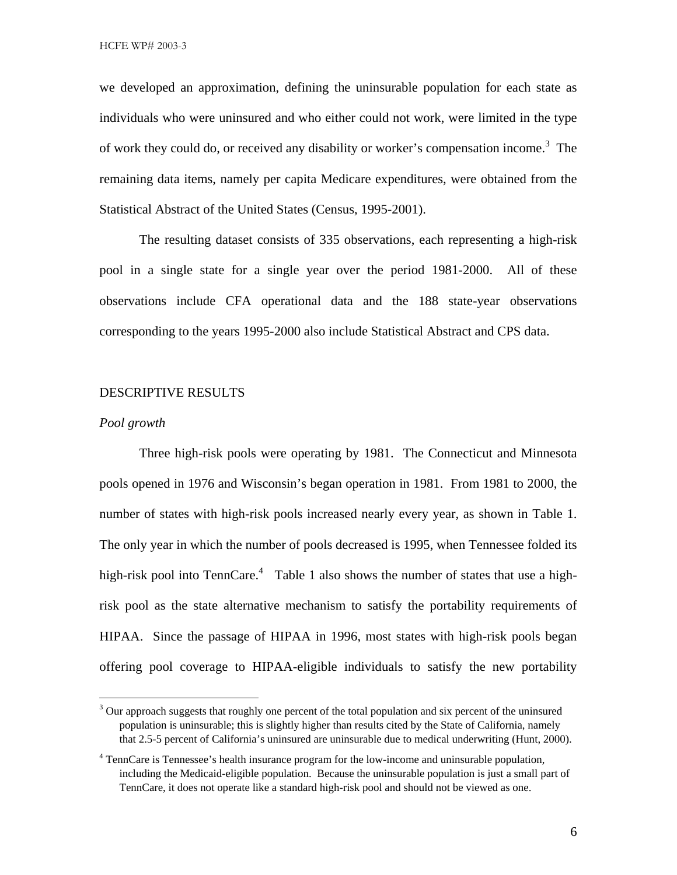we developed an approximation, defining the uninsurable population for each state as individuals who were uninsured and who either could not work, were limited in the type of work they could do, or received any disability or worker's compensation income.<sup>3</sup> The remaining data items, namely per capita Medicare expenditures, were obtained from the Statistical Abstract of the United States (Census, 1995-2001).

The resulting dataset consists of 335 observations, each representing a high-risk pool in a single state for a single year over the period 1981-2000. All of these observations include CFA operational data and the 188 state-year observations corresponding to the years 1995-2000 also include Statistical Abstract and CPS data.

#### DESCRIPTIVE RESULTS

#### *Pool growth*

Three high-risk pools were operating by 1981. The Connecticut and Minnesota pools opened in 1976 and Wisconsin's began operation in 1981. From 1981 to 2000, the number of states with high-risk pools increased nearly every year, as shown in Table 1. The only year in which the number of pools decreased is 1995, when Tennessee folded its high-risk pool into TennCare.<sup>4</sup> Table 1 also shows the number of states that use a highrisk pool as the state alternative mechanism to satisfy the portability requirements of HIPAA. Since the passage of HIPAA in 1996, most states with high-risk pools began offering pool coverage to HIPAA-eligible individuals to satisfy the new portability

<sup>&</sup>lt;sup>2</sup><br>3  $3$  Our approach suggests that roughly one percent of the total population and six percent of the uninsured population is uninsurable; this is slightly higher than results cited by the State of California, namely that 2.5-5 percent of California's uninsured are uninsurable due to medical underwriting (Hunt, 2000).

<sup>&</sup>lt;sup>4</sup> TennCare is Tennessee's health insurance program for the low-income and uninsurable population, including the Medicaid-eligible population. Because the uninsurable population is just a small part of TennCare, it does not operate like a standard high-risk pool and should not be viewed as one.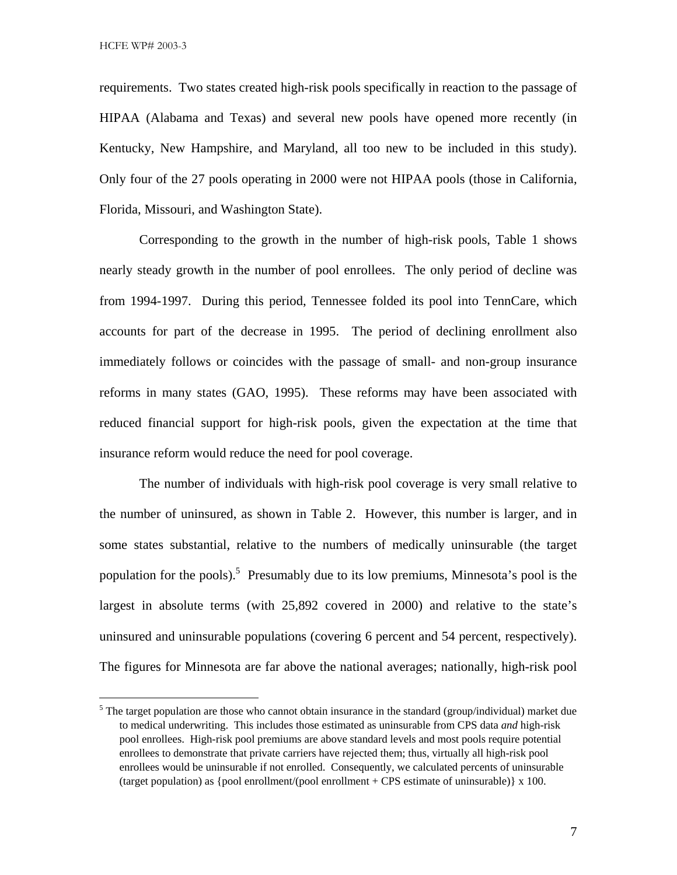requirements. Two states created high-risk pools specifically in reaction to the passage of HIPAA (Alabama and Texas) and several new pools have opened more recently (in Kentucky, New Hampshire, and Maryland, all too new to be included in this study). Only four of the 27 pools operating in 2000 were not HIPAA pools (those in California, Florida, Missouri, and Washington State).

Corresponding to the growth in the number of high-risk pools, Table 1 shows nearly steady growth in the number of pool enrollees. The only period of decline was from 1994-1997. During this period, Tennessee folded its pool into TennCare, which accounts for part of the decrease in 1995. The period of declining enrollment also immediately follows or coincides with the passage of small- and non-group insurance reforms in many states (GAO, 1995). These reforms may have been associated with reduced financial support for high-risk pools, given the expectation at the time that insurance reform would reduce the need for pool coverage.

The number of individuals with high-risk pool coverage is very small relative to the number of uninsured, as shown in Table 2. However, this number is larger, and in some states substantial, relative to the numbers of medically uninsurable (the target population for the pools).<sup>5</sup> Presumably due to its low premiums, Minnesota's pool is the largest in absolute terms (with 25,892 covered in 2000) and relative to the state's uninsured and uninsurable populations (covering 6 percent and 54 percent, respectively). The figures for Minnesota are far above the national averages; nationally, high-risk pool

 <sup>5</sup>  $5$  The target population are those who cannot obtain insurance in the standard (group/individual) market due to medical underwriting. This includes those estimated as uninsurable from CPS data *and* high-risk pool enrollees. High-risk pool premiums are above standard levels and most pools require potential enrollees to demonstrate that private carriers have rejected them; thus, virtually all high-risk pool enrollees would be uninsurable if not enrolled. Consequently, we calculated percents of uninsurable (target population) as {pool enrollment/(pool enrollment + CPS estimate of uninsurable)  $\chi$  100.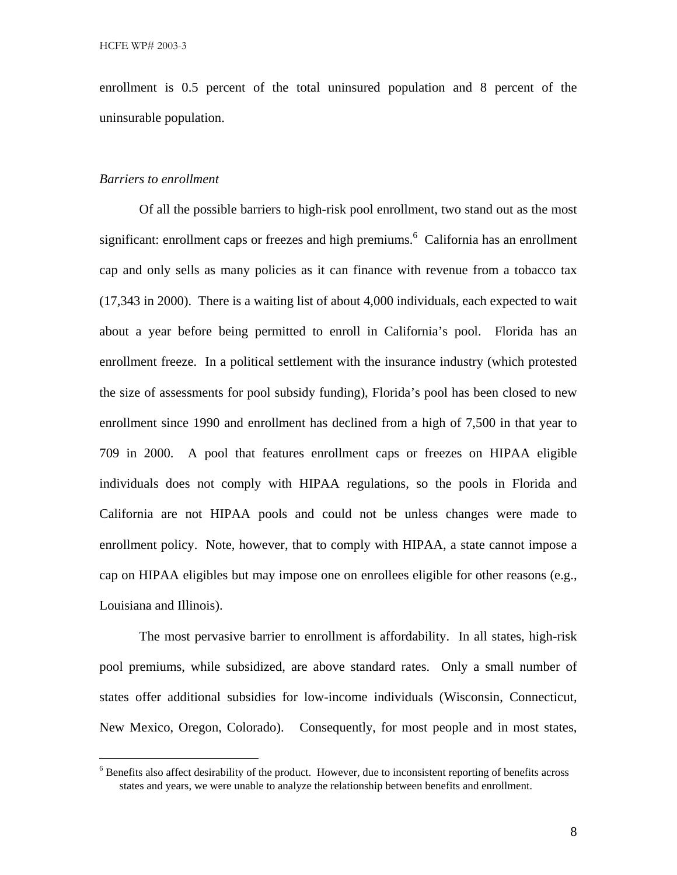enrollment is 0.5 percent of the total uninsured population and 8 percent of the uninsurable population.

#### *Barriers to enrollment*

Of all the possible barriers to high-risk pool enrollment, two stand out as the most significant: enrollment caps or freezes and high premiums. 6 California has an enrollment cap and only sells as many policies as it can finance with revenue from a tobacco tax (17,343 in 2000). There is a waiting list of about 4,000 individuals, each expected to wait about a year before being permitted to enroll in California's pool. Florida has an enrollment freeze. In a political settlement with the insurance industry (which protested the size of assessments for pool subsidy funding), Florida's pool has been closed to new enrollment since 1990 and enrollment has declined from a high of 7,500 in that year to 709 in 2000. A pool that features enrollment caps or freezes on HIPAA eligible individuals does not comply with HIPAA regulations, so the pools in Florida and California are not HIPAA pools and could not be unless changes were made to enrollment policy. Note, however, that to comply with HIPAA, a state cannot impose a cap on HIPAA eligibles but may impose one on enrollees eligible for other reasons (e.g., Louisiana and Illinois).

The most pervasive barrier to enrollment is affordability. In all states, high-risk pool premiums, while subsidized, are above standard rates. Only a small number of states offer additional subsidies for low-income individuals (Wisconsin, Connecticut, New Mexico, Oregon, Colorado). Consequently, for most people and in most states,

 <sup>6</sup>  $6$  Benefits also affect desirability of the product. However, due to inconsistent reporting of benefits across states and years, we were unable to analyze the relationship between benefits and enrollment.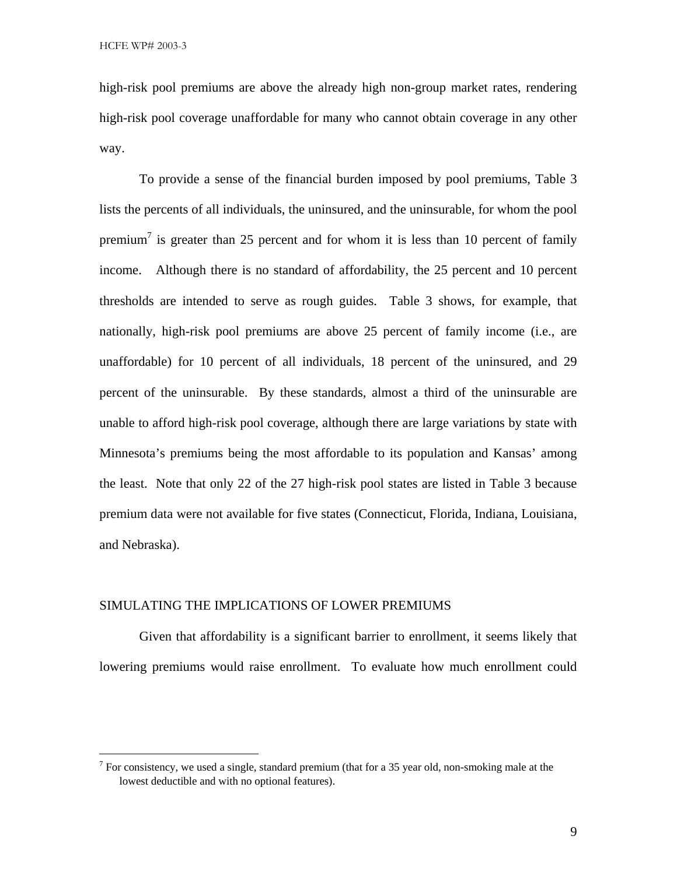high-risk pool premiums are above the already high non-group market rates, rendering high-risk pool coverage unaffordable for many who cannot obtain coverage in any other way.

To provide a sense of the financial burden imposed by pool premiums, Table 3 lists the percents of all individuals, the uninsured, and the uninsurable, for whom the pool premium<sup>7</sup> is greater than 25 percent and for whom it is less than 10 percent of family income. Although there is no standard of affordability, the 25 percent and 10 percent thresholds are intended to serve as rough guides. Table 3 shows, for example, that nationally, high-risk pool premiums are above 25 percent of family income (i.e., are unaffordable) for 10 percent of all individuals, 18 percent of the uninsured, and 29 percent of the uninsurable. By these standards, almost a third of the uninsurable are unable to afford high-risk pool coverage, although there are large variations by state with Minnesota's premiums being the most affordable to its population and Kansas' among the least. Note that only 22 of the 27 high-risk pool states are listed in Table 3 because premium data were not available for five states (Connecticut, Florida, Indiana, Louisiana, and Nebraska).

#### SIMULATING THE IMPLICATIONS OF LOWER PREMIUMS

Given that affordability is a significant barrier to enrollment, it seems likely that lowering premiums would raise enrollment. To evaluate how much enrollment could

<sup>-&</sup>lt;br>7  $<sup>7</sup>$  For consistency, we used a single, standard premium (that for a 35 year old, non-smoking male at the</sup> lowest deductible and with no optional features).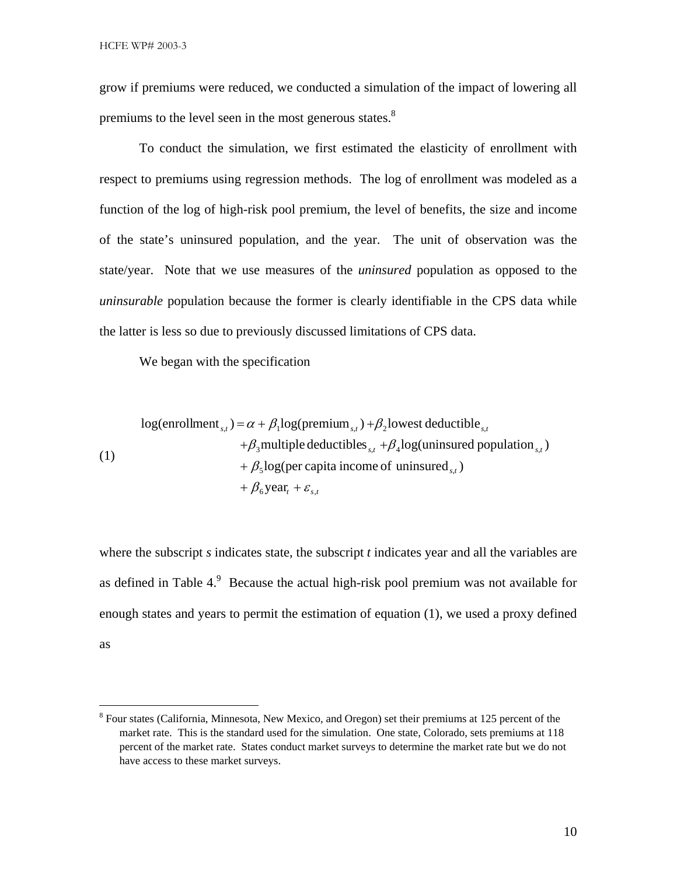grow if premiums were reduced, we conducted a simulation of the impact of lowering all premiums to the level seen in the most generous states.<sup>8</sup>

To conduct the simulation, we first estimated the elasticity of enrollment with respect to premiums using regression methods. The log of enrollment was modeled as a function of the log of high-risk pool premium, the level of benefits, the size and income of the state's uninsured population, and the year. The unit of observation was the state/year. Note that we use measures of the *uninsured* population as opposed to the *uninsurable* population because the former is clearly identifiable in the CPS data while the latter is less so due to previously discussed limitations of CPS data.

We began with the specification

log(enrollment<sub>*s,t*</sub>) = 
$$
\alpha + \beta_1 \log(\text{premium}_{s,t}) + \beta_2 \text{lowest deductible}_{s,t}
$$
  
+ $\beta_3$ multiple deductibles<sub>*s,t*</sub> + $\beta_4 \log(\text{uninsured population}_{s,t})$   
+ $\beta_5 \log(\text{per capita income of uninsured}_{s,t})$   
+ $\beta_6 \text{year}_t + \varepsilon_{s,t}$ 

where the subscript *s* indicates state, the subscript *t* indicates year and all the variables are as defined in Table  $4.9$  Because the actual high-risk pool premium was not available for enough states and years to permit the estimation of equation (1), we used a proxy defined as

 <sup>8</sup>  ${}^{8}$  Four states (California, Minnesota, New Mexico, and Oregon) set their premiums at 125 percent of the market rate. This is the standard used for the simulation. One state, Colorado, sets premiums at 118 percent of the market rate. States conduct market surveys to determine the market rate but we do not have access to these market surveys.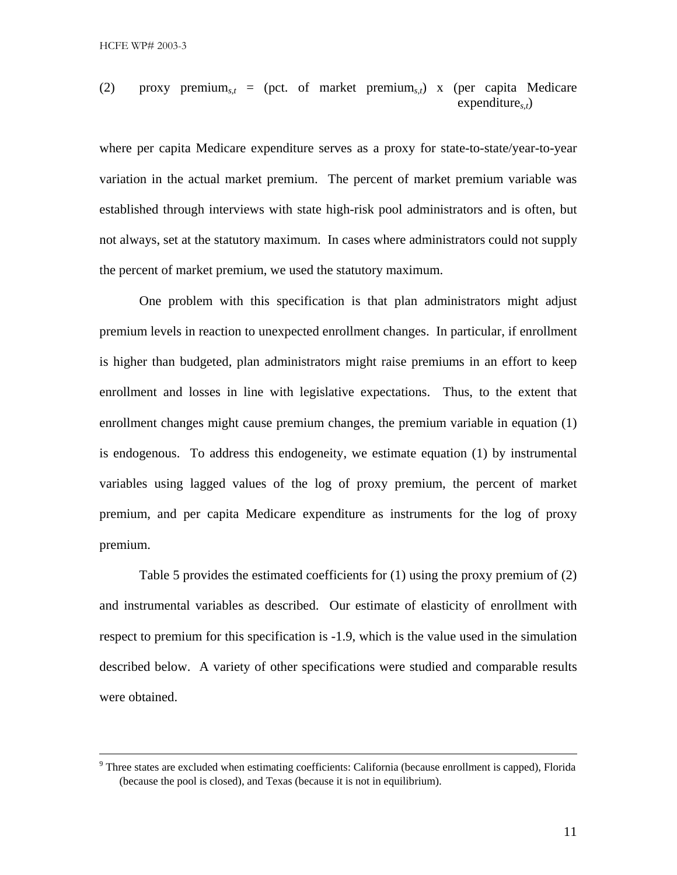(2) proxy premium*s,t* = (pct. of market premium*s,t*) x (per capita Medicare expenditure*s,t*)

where per capita Medicare expenditure serves as a proxy for state-to-state/year-to-year variation in the actual market premium. The percent of market premium variable was established through interviews with state high-risk pool administrators and is often, but not always, set at the statutory maximum. In cases where administrators could not supply the percent of market premium, we used the statutory maximum.

One problem with this specification is that plan administrators might adjust premium levels in reaction to unexpected enrollment changes. In particular, if enrollment is higher than budgeted, plan administrators might raise premiums in an effort to keep enrollment and losses in line with legislative expectations. Thus, to the extent that enrollment changes might cause premium changes, the premium variable in equation (1) is endogenous. To address this endogeneity, we estimate equation (1) by instrumental variables using lagged values of the log of proxy premium, the percent of market premium, and per capita Medicare expenditure as instruments for the log of proxy premium.

Table 5 provides the estimated coefficients for (1) using the proxy premium of (2) and instrumental variables as described. Our estimate of elasticity of enrollment with respect to premium for this specification is -1.9, which is the value used in the simulation described below. A variety of other specifications were studied and comparable results were obtained.

<sup>-&</sup>lt;br>9 <sup>9</sup> Three states are excluded when estimating coefficients: California (because enrollment is capped), Florida (because the pool is closed), and Texas (because it is not in equilibrium).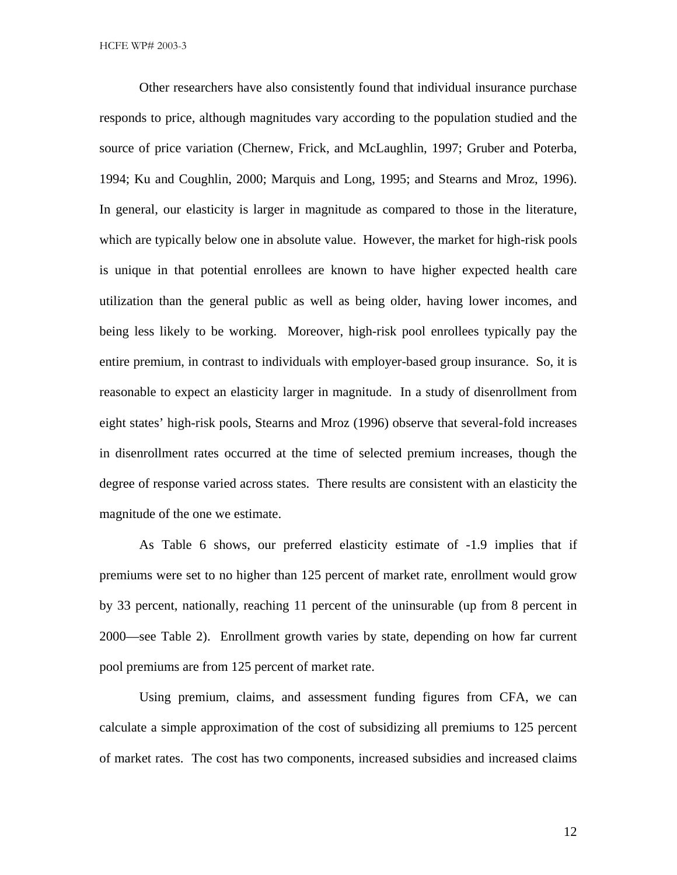Other researchers have also consistently found that individual insurance purchase responds to price, although magnitudes vary according to the population studied and the source of price variation (Chernew, Frick, and McLaughlin, 1997; Gruber and Poterba, 1994; Ku and Coughlin, 2000; Marquis and Long, 1995; and Stearns and Mroz, 1996). In general, our elasticity is larger in magnitude as compared to those in the literature, which are typically below one in absolute value. However, the market for high-risk pools is unique in that potential enrollees are known to have higher expected health care utilization than the general public as well as being older, having lower incomes, and being less likely to be working. Moreover, high-risk pool enrollees typically pay the entire premium, in contrast to individuals with employer-based group insurance. So, it is reasonable to expect an elasticity larger in magnitude. In a study of disenrollment from eight states' high-risk pools, Stearns and Mroz (1996) observe that several-fold increases in disenrollment rates occurred at the time of selected premium increases, though the degree of response varied across states. There results are consistent with an elasticity the magnitude of the one we estimate.

As Table 6 shows, our preferred elasticity estimate of -1.9 implies that if premiums were set to no higher than 125 percent of market rate, enrollment would grow by 33 percent, nationally, reaching 11 percent of the uninsurable (up from 8 percent in 2000—see Table 2). Enrollment growth varies by state, depending on how far current pool premiums are from 125 percent of market rate.

Using premium, claims, and assessment funding figures from CFA, we can calculate a simple approximation of the cost of subsidizing all premiums to 125 percent of market rates. The cost has two components, increased subsidies and increased claims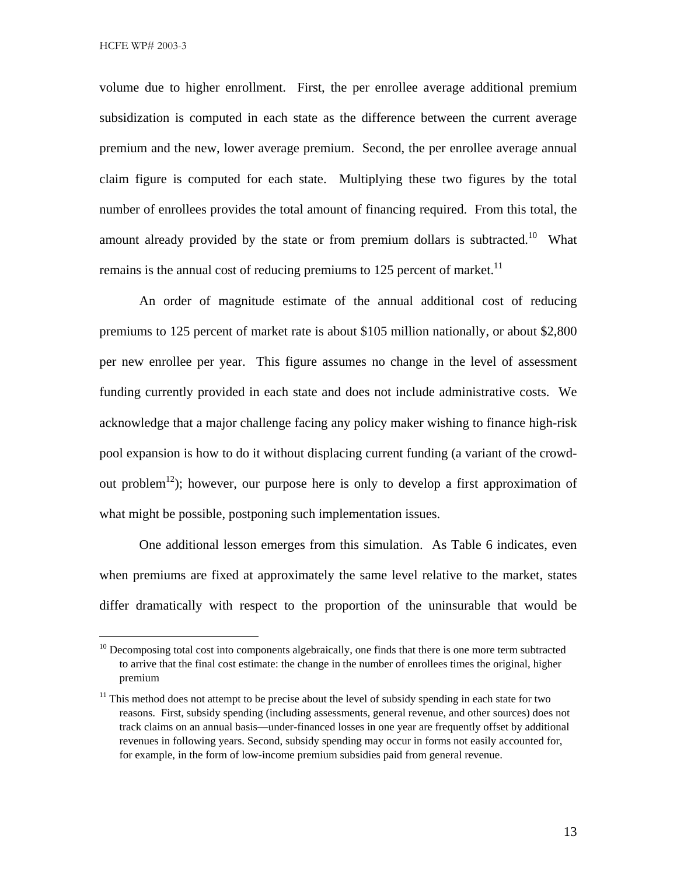volume due to higher enrollment. First, the per enrollee average additional premium subsidization is computed in each state as the difference between the current average premium and the new, lower average premium. Second, the per enrollee average annual claim figure is computed for each state. Multiplying these two figures by the total number of enrollees provides the total amount of financing required. From this total, the amount already provided by the state or from premium dollars is subtracted.<sup>10</sup> What remains is the annual cost of reducing premiums to 125 percent of market.<sup>11</sup>

An order of magnitude estimate of the annual additional cost of reducing premiums to 125 percent of market rate is about \$105 million nationally, or about \$2,800 per new enrollee per year. This figure assumes no change in the level of assessment funding currently provided in each state and does not include administrative costs. We acknowledge that a major challenge facing any policy maker wishing to finance high-risk pool expansion is how to do it without displacing current funding (a variant of the crowdout problem<sup>12</sup>); however, our purpose here is only to develop a first approximation of what might be possible, postponing such implementation issues.

One additional lesson emerges from this simulation. As Table 6 indicates, even when premiums are fixed at approximately the same level relative to the market, states differ dramatically with respect to the proportion of the uninsurable that would be

<sup>&</sup>lt;sup>10</sup> Decomposing total cost into components algebraically, one finds that there is one more term subtracted to arrive that the final cost estimate: the change in the number of enrollees times the original, higher premium

 $11$  This method does not attempt to be precise about the level of subsidy spending in each state for two reasons. First, subsidy spending (including assessments, general revenue, and other sources) does not track claims on an annual basis—under-financed losses in one year are frequently offset by additional revenues in following years. Second, subsidy spending may occur in forms not easily accounted for, for example, in the form of low-income premium subsidies paid from general revenue.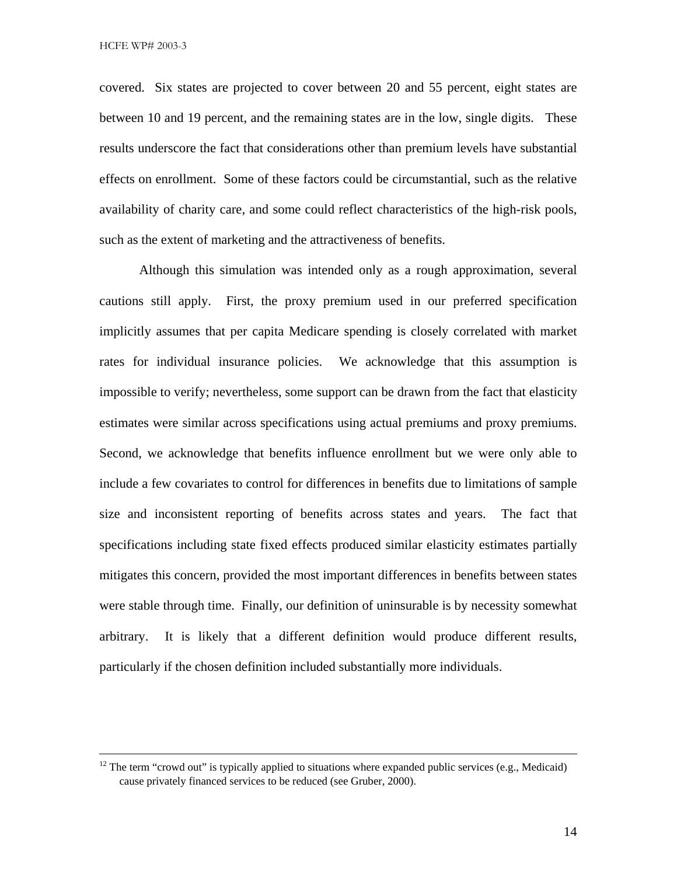covered. Six states are projected to cover between 20 and 55 percent, eight states are between 10 and 19 percent, and the remaining states are in the low, single digits. These results underscore the fact that considerations other than premium levels have substantial effects on enrollment. Some of these factors could be circumstantial, such as the relative availability of charity care, and some could reflect characteristics of the high-risk pools, such as the extent of marketing and the attractiveness of benefits.

Although this simulation was intended only as a rough approximation, several cautions still apply. First, the proxy premium used in our preferred specification implicitly assumes that per capita Medicare spending is closely correlated with market rates for individual insurance policies. We acknowledge that this assumption is impossible to verify; nevertheless, some support can be drawn from the fact that elasticity estimates were similar across specifications using actual premiums and proxy premiums. Second, we acknowledge that benefits influence enrollment but we were only able to include a few covariates to control for differences in benefits due to limitations of sample size and inconsistent reporting of benefits across states and years. The fact that specifications including state fixed effects produced similar elasticity estimates partially mitigates this concern, provided the most important differences in benefits between states were stable through time. Finally, our definition of uninsurable is by necessity somewhat arbitrary. It is likely that a different definition would produce different results, particularly if the chosen definition included substantially more individuals.

 $12$  The term "crowd out" is typically applied to situations where expanded public services (e.g., Medicaid) cause privately financed services to be reduced (see Gruber, 2000).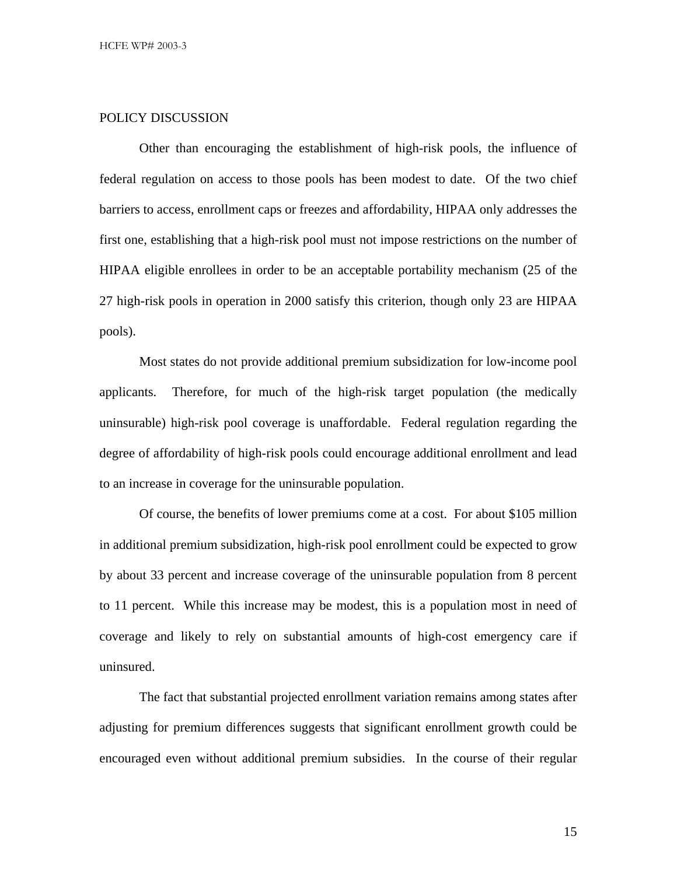#### POLICY DISCUSSION

Other than encouraging the establishment of high-risk pools, the influence of federal regulation on access to those pools has been modest to date. Of the two chief barriers to access, enrollment caps or freezes and affordability, HIPAA only addresses the first one, establishing that a high-risk pool must not impose restrictions on the number of HIPAA eligible enrollees in order to be an acceptable portability mechanism (25 of the 27 high-risk pools in operation in 2000 satisfy this criterion, though only 23 are HIPAA pools).

Most states do not provide additional premium subsidization for low-income pool applicants. Therefore, for much of the high-risk target population (the medically uninsurable) high-risk pool coverage is unaffordable. Federal regulation regarding the degree of affordability of high-risk pools could encourage additional enrollment and lead to an increase in coverage for the uninsurable population.

Of course, the benefits of lower premiums come at a cost. For about \$105 million in additional premium subsidization, high-risk pool enrollment could be expected to grow by about 33 percent and increase coverage of the uninsurable population from 8 percent to 11 percent. While this increase may be modest, this is a population most in need of coverage and likely to rely on substantial amounts of high-cost emergency care if uninsured.

The fact that substantial projected enrollment variation remains among states after adjusting for premium differences suggests that significant enrollment growth could be encouraged even without additional premium subsidies. In the course of their regular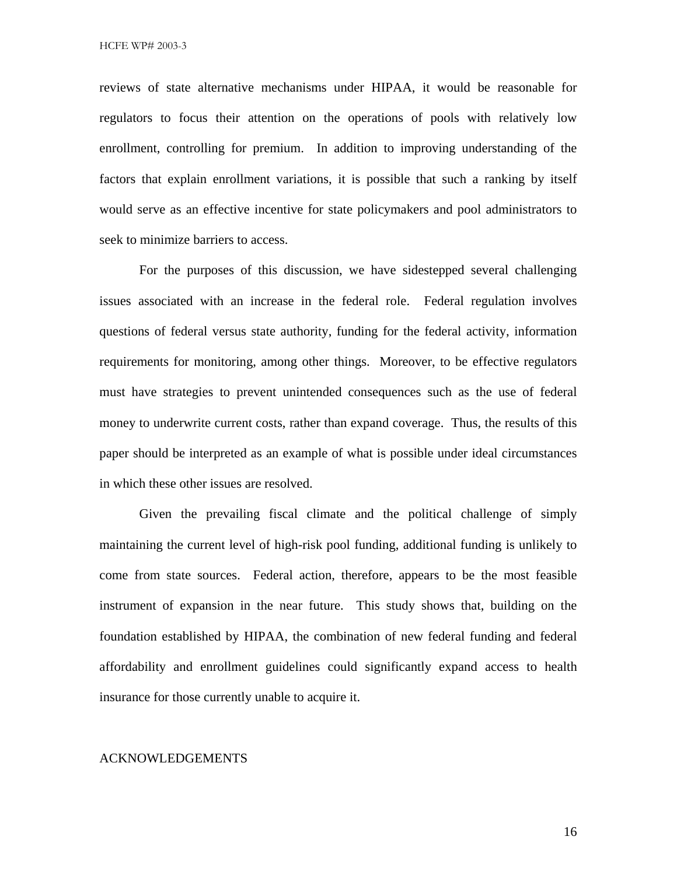reviews of state alternative mechanisms under HIPAA, it would be reasonable for regulators to focus their attention on the operations of pools with relatively low enrollment, controlling for premium. In addition to improving understanding of the factors that explain enrollment variations, it is possible that such a ranking by itself would serve as an effective incentive for state policymakers and pool administrators to seek to minimize barriers to access.

For the purposes of this discussion, we have sidestepped several challenging issues associated with an increase in the federal role. Federal regulation involves questions of federal versus state authority, funding for the federal activity, information requirements for monitoring, among other things. Moreover, to be effective regulators must have strategies to prevent unintended consequences such as the use of federal money to underwrite current costs, rather than expand coverage. Thus, the results of this paper should be interpreted as an example of what is possible under ideal circumstances in which these other issues are resolved.

Given the prevailing fiscal climate and the political challenge of simply maintaining the current level of high-risk pool funding, additional funding is unlikely to come from state sources. Federal action, therefore, appears to be the most feasible instrument of expansion in the near future. This study shows that, building on the foundation established by HIPAA, the combination of new federal funding and federal affordability and enrollment guidelines could significantly expand access to health insurance for those currently unable to acquire it.

#### ACKNOWLEDGEMENTS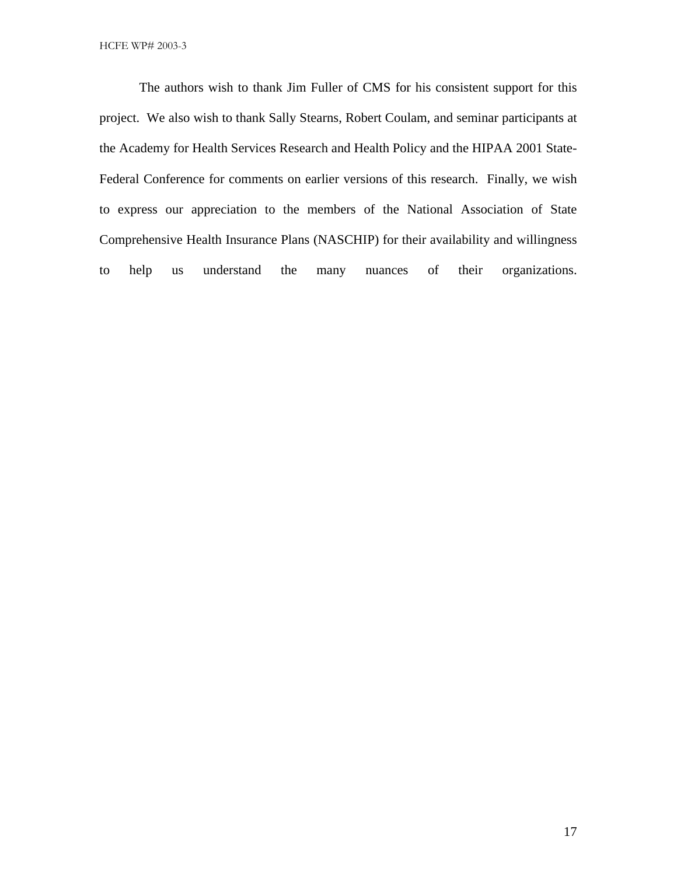The authors wish to thank Jim Fuller of CMS for his consistent support for this project. We also wish to thank Sally Stearns, Robert Coulam, and seminar participants at the Academy for Health Services Research and Health Policy and the HIPAA 2001 State-Federal Conference for comments on earlier versions of this research. Finally, we wish to express our appreciation to the members of the National Association of State Comprehensive Health Insurance Plans (NASCHIP) for their availability and willingness to help us understand the many nuances of their organizations.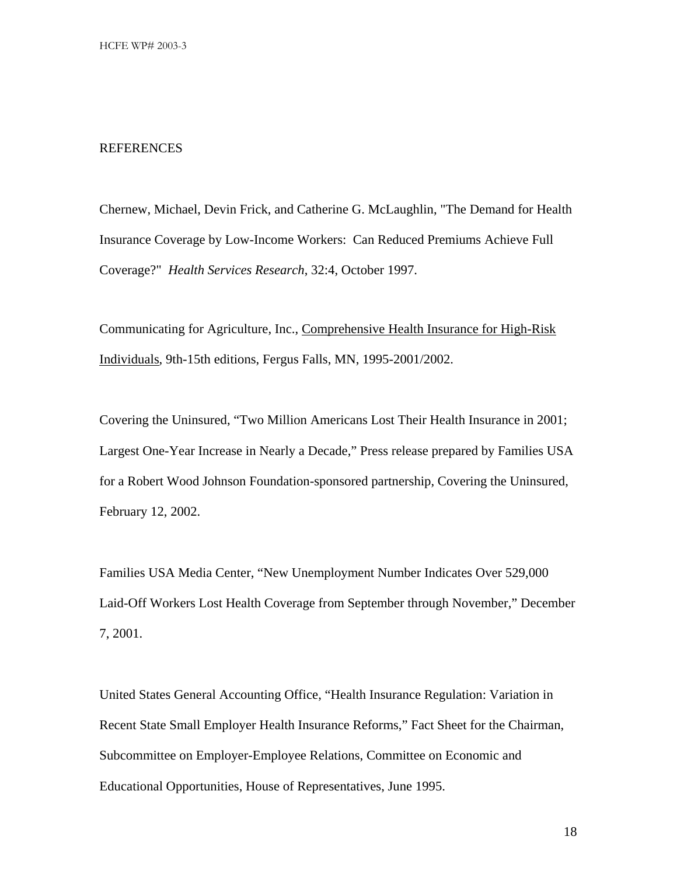#### REFERENCES

Chernew, Michael, Devin Frick, and Catherine G. McLaughlin, "The Demand for Health Insurance Coverage by Low-Income Workers: Can Reduced Premiums Achieve Full Coverage?" *Health Services Research*, 32:4, October 1997.

Communicating for Agriculture, Inc., Comprehensive Health Insurance for High-Risk Individuals, 9th-15th editions, Fergus Falls, MN, 1995-2001/2002.

Covering the Uninsured, "Two Million Americans Lost Their Health Insurance in 2001; Largest One-Year Increase in Nearly a Decade," Press release prepared by Families USA for a Robert Wood Johnson Foundation-sponsored partnership, Covering the Uninsured, February 12, 2002.

Families USA Media Center, "New Unemployment Number Indicates Over 529,000 Laid-Off Workers Lost Health Coverage from September through November," December 7, 2001.

United States General Accounting Office, "Health Insurance Regulation: Variation in Recent State Small Employer Health Insurance Reforms," Fact Sheet for the Chairman, Subcommittee on Employer-Employee Relations, Committee on Economic and Educational Opportunities, House of Representatives, June 1995.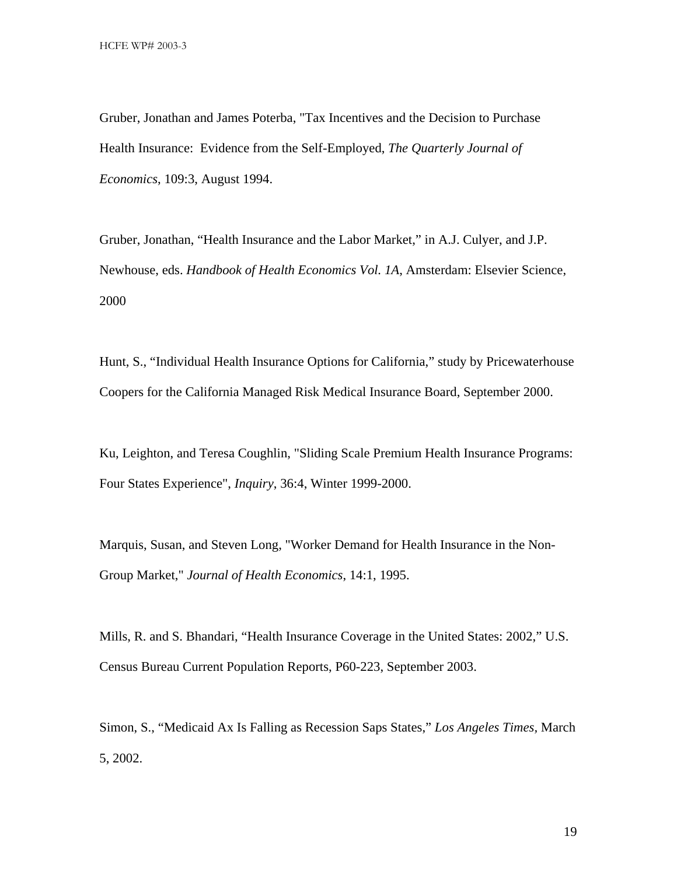Gruber, Jonathan and James Poterba, "Tax Incentives and the Decision to Purchase Health Insurance: Evidence from the Self-Employed, *The Quarterly Journal of Economics*, 109:3, August 1994.

Gruber, Jonathan, "Health Insurance and the Labor Market," in A.J. Culyer, and J.P. Newhouse, eds. *Handbook of Health Economics Vol. 1A*, Amsterdam: Elsevier Science, 2000

Hunt, S., "Individual Health Insurance Options for California," study by Pricewaterhouse Coopers for the California Managed Risk Medical Insurance Board, September 2000.

Ku, Leighton, and Teresa Coughlin, "Sliding Scale Premium Health Insurance Programs: Four States Experience", *Inquiry*, 36:4, Winter 1999-2000.

Marquis, Susan, and Steven Long, "Worker Demand for Health Insurance in the Non-Group Market," *Journal of Health Economics*, 14:1, 1995.

Mills, R. and S. Bhandari, "Health Insurance Coverage in the United States: 2002," U.S. Census Bureau Current Population Reports, P60-223, September 2003.

Simon, S., "Medicaid Ax Is Falling as Recession Saps States," *Los Angeles Times,* March 5, 2002.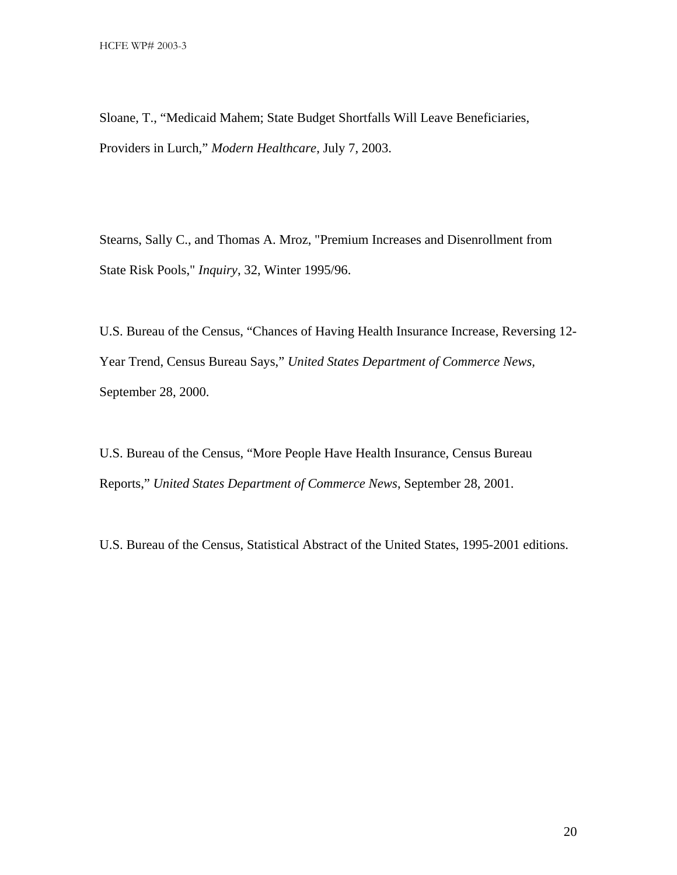Sloane, T., "Medicaid Mahem; State Budget Shortfalls Will Leave Beneficiaries, Providers in Lurch," *Modern Healthcare*, July 7, 2003.

Stearns, Sally C., and Thomas A. Mroz, "Premium Increases and Disenrollment from State Risk Pools," *Inquiry*, 32, Winter 1995/96.

U.S. Bureau of the Census, "Chances of Having Health Insurance Increase, Reversing 12- Year Trend, Census Bureau Says," *United States Department of Commerce News,* September 28, 2000.

U.S. Bureau of the Census, "More People Have Health Insurance, Census Bureau Reports," *United States Department of Commerce News*, September 28, 2001.

U.S. Bureau of the Census, Statistical Abstract of the United States, 1995-2001 editions.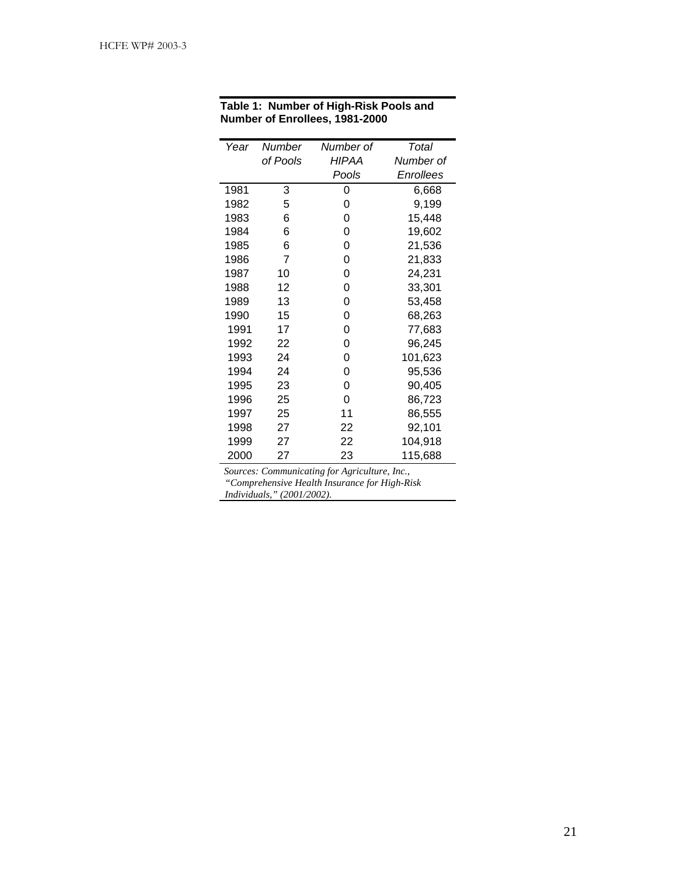| Year | Number   | Number of    | Total     |
|------|----------|--------------|-----------|
|      | of Pools | <b>HIPAA</b> | Number of |
|      |          | Pools        | Enrollees |
| 1981 | 3        | 0            | 6.668     |
| 1982 | 5        | 0            | 9,199     |
| 1983 | 6        | 0            | 15,448    |
| 1984 | 6        | 0            | 19,602    |
| 1985 | 6        | 0            | 21,536    |
| 1986 | 7        | 0            | 21,833    |
| 1987 | 10       | 0            | 24,231    |
| 1988 | 12       | 0            | 33,301    |
| 1989 | 13       | 0            | 53,458    |
| 1990 | 15       | 0            | 68,263    |
| 1991 | 17       | 0            | 77,683    |
| 1992 | 22       | 0            | 96,245    |
| 1993 | 24       | 0            | 101,623   |
| 1994 | 24       | 0            | 95,536    |
| 1995 | 23       | 0            | 90,405    |
| 1996 | 25       | 0            | 86,723    |
| 1997 | 25       | 11           | 86,555    |
| 1998 | 27       | 22           | 92,101    |
| 1999 | 27       | 22           | 104,918   |
| 2000 | 27       | 23           | 115,688   |

#### **Table 1: Number of High-Risk Pools and Number of Enrollees, 1981-2000**

*Sources: Communicating for Agriculture, Inc., "Comprehensive Health Insurance for High-Risk Individuals," (2001/2002).*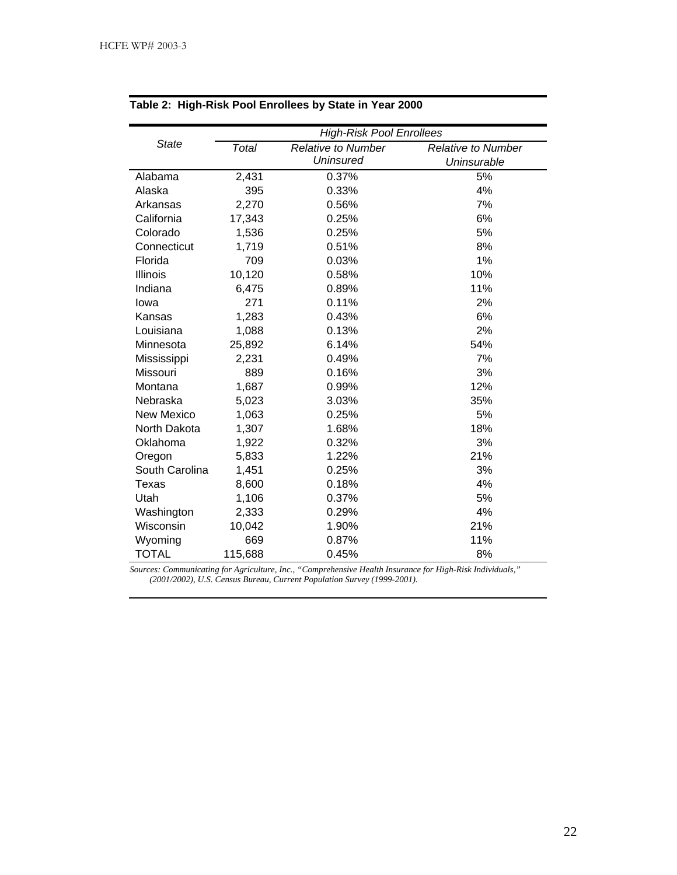|                   | <b>High-Risk Pool Enrollees</b> |                           |                           |  |  |  |
|-------------------|---------------------------------|---------------------------|---------------------------|--|--|--|
| <b>State</b>      | Total                           | <b>Relative to Number</b> | <b>Relative to Number</b> |  |  |  |
|                   |                                 | <b>Uninsured</b>          | Uninsurable               |  |  |  |
| Alabama           | 2,431                           | 0.37%                     | 5%                        |  |  |  |
| Alaska            | 395                             | 0.33%                     | 4%                        |  |  |  |
| Arkansas          | 2,270                           | 0.56%                     | 7%                        |  |  |  |
| California        | 17,343                          | 0.25%                     | 6%                        |  |  |  |
| Colorado          | 1,536                           | 0.25%                     | 5%                        |  |  |  |
| Connecticut       | 1,719                           | 0.51%                     | 8%                        |  |  |  |
| Florida           | 709                             | 0.03%                     | 1%                        |  |  |  |
| Illinois          | 10,120                          | 0.58%                     | 10%                       |  |  |  |
| Indiana           | 6,475                           | 0.89%                     | 11%                       |  |  |  |
| lowa              | 271                             | 0.11%                     | 2%                        |  |  |  |
| Kansas            | 1,283                           | 0.43%                     | 6%                        |  |  |  |
| Louisiana         | 1,088                           | 0.13%                     | 2%                        |  |  |  |
| Minnesota         | 25,892                          | 6.14%                     | 54%                       |  |  |  |
| Mississippi       | 2,231                           | 0.49%                     | 7%                        |  |  |  |
| Missouri          | 889                             | 0.16%                     | 3%                        |  |  |  |
| Montana           | 1,687                           | 0.99%                     | 12%                       |  |  |  |
| Nebraska          | 5,023                           | 3.03%                     | 35%                       |  |  |  |
| <b>New Mexico</b> | 1,063                           | 0.25%                     | 5%                        |  |  |  |
| North Dakota      | 1,307                           | 1.68%                     | 18%                       |  |  |  |
| Oklahoma          | 1,922                           | 0.32%                     | 3%                        |  |  |  |
| Oregon            | 5,833                           | 1.22%                     | 21%                       |  |  |  |
| South Carolina    | 1,451                           | 0.25%                     | 3%                        |  |  |  |
| Texas             | 8,600                           | 0.18%                     | 4%                        |  |  |  |
| Utah              | 1,106                           | 0.37%                     | 5%                        |  |  |  |
| Washington        | 2,333                           | 0.29%                     | 4%                        |  |  |  |
| Wisconsin         | 10,042                          | 1.90%                     | 21%                       |  |  |  |
| Wyoming           | 669                             | 0.87%                     | 11%                       |  |  |  |
| <b>TOTAL</b>      | 115,688                         | 0.45%                     | 8%                        |  |  |  |

#### **Table 2: High-Risk Pool Enrollees by State in Year 2000**

*Sources: Communicating for Agriculture, Inc., "Comprehensive Health Insurance for High-Risk Individuals," (2001/2002), U.S. Census Bureau, Current Population Survey (1999-2001).*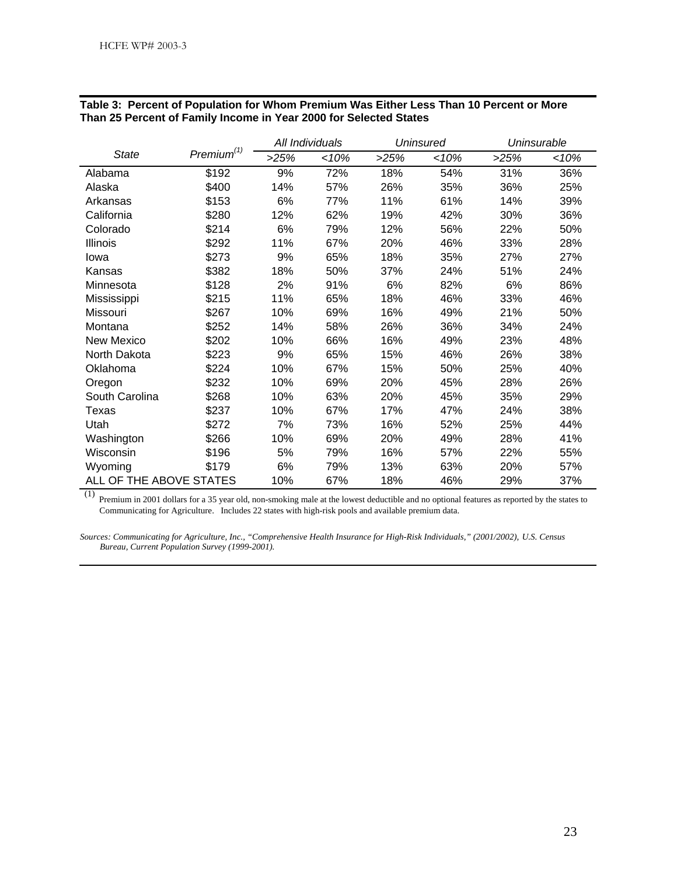|                         |                        | All Individuals |     | Uninsured |     | Uninsurable |     |
|-------------------------|------------------------|-----------------|-----|-----------|-----|-------------|-----|
| <b>State</b>            | Premium <sup>(1)</sup> | >25%            | 10% | >25%      | 10% | >25%        | 10% |
| Alabama                 | \$192                  | 9%              | 72% | 18%       | 54% | 31%         | 36% |
| Alaska                  | \$400                  | 14%             | 57% | 26%       | 35% | 36%         | 25% |
| Arkansas                | \$153                  | 6%              | 77% | 11%       | 61% | 14%         | 39% |
| California              | \$280                  | 12%             | 62% | 19%       | 42% | 30%         | 36% |
| Colorado                | \$214                  | 6%              | 79% | 12%       | 56% | 22%         | 50% |
| <b>Illinois</b>         | \$292                  | 11%             | 67% | 20%       | 46% | 33%         | 28% |
| lowa                    | \$273                  | 9%              | 65% | 18%       | 35% | 27%         | 27% |
| Kansas                  | \$382                  | 18%             | 50% | 37%       | 24% | 51%         | 24% |
| Minnesota               | \$128                  | 2%              | 91% | 6%        | 82% | 6%          | 86% |
| Mississippi             | \$215                  | 11%             | 65% | 18%       | 46% | 33%         | 46% |
| Missouri                | \$267                  | 10%             | 69% | 16%       | 49% | 21%         | 50% |
| Montana                 | \$252                  | 14%             | 58% | 26%       | 36% | 34%         | 24% |
| New Mexico              | \$202                  | 10%             | 66% | 16%       | 49% | 23%         | 48% |
| North Dakota            | \$223                  | 9%              | 65% | 15%       | 46% | 26%         | 38% |
| Oklahoma                | \$224                  | 10%             | 67% | 15%       | 50% | 25%         | 40% |
| Oregon                  | \$232                  | 10%             | 69% | 20%       | 45% | 28%         | 26% |
| South Carolina          | \$268                  | 10%             | 63% | 20%       | 45% | 35%         | 29% |
| Texas                   | \$237                  | 10%             | 67% | 17%       | 47% | 24%         | 38% |
| Utah                    | \$272                  | 7%              | 73% | 16%       | 52% | 25%         | 44% |
| Washington              | \$266                  | 10%             | 69% | 20%       | 49% | 28%         | 41% |
| Wisconsin               | \$196                  | 5%              | 79% | 16%       | 57% | 22%         | 55% |
| Wyoming                 | \$179                  | 6%              | 79% | 13%       | 63% | 20%         | 57% |
| ALL OF THE ABOVE STATES |                        | 10%             | 67% | 18%       | 46% | 29%         | 37% |

#### **Table 3: Percent of Population for Whom Premium Was Either Less Than 10 Percent or More Than 25 Percent of Family Income in Year 2000 for Selected States**

(1) Premium in 2001 dollars for a 35 year old, non-smoking male at the lowest deductible and no optional features as reported by the states to Communicating for Agriculture. Includes 22 states with high-risk pools and available premium data.

*Sources: Communicating for Agriculture, Inc., "Comprehensive Health Insurance for High-Risk Individuals," (2001/2002), U.S. Census Bureau, Current Population Survey (1999-2001).*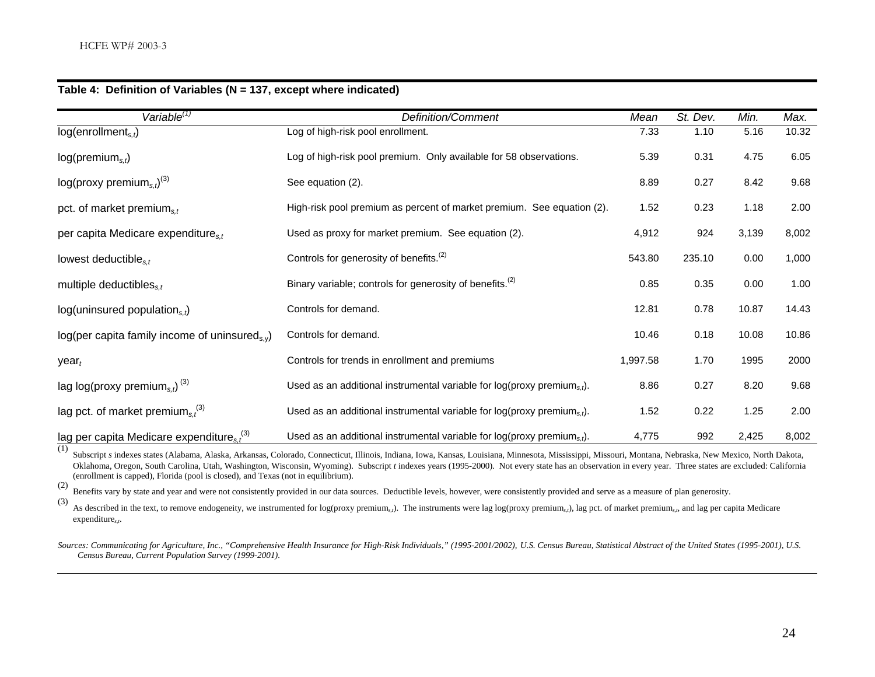| Variable <sup>(1)</sup>                                      | Definition/Comment                                                            | Mean     | St. Dev. | Min.  | Max.  |
|--------------------------------------------------------------|-------------------------------------------------------------------------------|----------|----------|-------|-------|
| log(enrollment <sub>s.t</sub> )                              | Log of high-risk pool enrollment.                                             |          | 1.10     | 5.16  | 10.32 |
| log(premium <sub>s,t</sub> )                                 | Log of high-risk pool premium. Only available for 58 observations.            |          | 0.31     | 4.75  | 6.05  |
| $log(prows$ premium <sub>s.t</sub> ) <sup>(3)</sup>          | See equation (2).                                                             |          | 0.27     | 8.42  | 9.68  |
| pct. of market premium $_{s,t}$                              | High-risk pool premium as percent of market premium. See equation (2).        | 1.52     | 0.23     | 1.18  | 2.00  |
| per capita Medicare expenditures,                            | Used as proxy for market premium. See equation (2).                           | 4,912    | 924      | 3,139 | 8,002 |
| lowest deductible <sub>s.t</sub>                             | Controls for generosity of benefits. <sup>(2)</sup>                           | 543.80   | 235.10   | 0.00  | 1,000 |
| multiple deductibles $_{s,t}$                                | Binary variable; controls for generosity of benefits. <sup>(2)</sup>          | 0.85     | 0.35     | 0.00  | 1.00  |
| $log$ (uninsured population <sub>s,t</sub> )                 | Controls for demand.                                                          | 12.81    | 0.78     | 10.87 | 14.43 |
| $log(per$ capita family income of uninsured <sub>s.v</sub> ) | Controls for demand.                                                          | 10.46    | 0.18     | 10.08 | 10.86 |
| year <sub>t</sub>                                            | Controls for trends in enrollment and premiums                                | 1,997.58 | 1.70     | 1995  | 2000  |
| lag log(proxy premium <sub>s.t</sub> ) <sup>(3)</sup>        | Used as an additional instrumental variable for $log(prows)$ premiums,t).     | 8.86     | 0.27     | 8.20  | 9.68  |
| lag pct. of market premium <sub>s.</sub> <sup>(3)</sup>      | Used as an additional instrumental variable for log(proxy premium $_{s,t}$ ). | 1.52     | 0.22     | 1.25  | 2.00  |
| lag per capita Medicare expenditure $s_t^{(3)}$              | Used as an additional instrumental variable for log(proxy premium $_{s,t}$ ). | 4,775    | 992      | 2,425 | 8,002 |

#### **Table 4: Definition of Variables (N = 137, except where indicated)**

(1) Subscript *s* indexes states (Alabama, Alaska, Arkansas, Colorado, Connecticut, Illinois, Indiana, Iowa, Kansas, Louisiana, Minnesota, Mississippi, Missouri, Montana, Nebraska, New Mexico, North Dakota, Oklahoma, Oregon, South Carolina, Utah, Washington, Wisconsin, Wyoming). Subscript *t* indexes years (1995-2000). Not every state has an observation in every year. Three states are excluded: California (enrollment is capped), Florida (pool is closed), and Texas (not in equilibrium).

(2) Benefits vary by state and year and were not consistently provided in our data sources. Deductible levels, however, were consistently provided and serve as a measure of plan generosity.

(3) As described in the text, to remove endogeneity, we instrumented for log(proxy premium*s,t*). The instruments were lag log(proxy premium*s,t*), lag pct. of market premium*s,t*, and lag per capita Medicare expenditure*s,t*.

*Sources: Communicating for Agriculture, Inc., "Comprehensive Health Insurance for High-Risk Individuals," (1995-2001/2002), U.S. Census Bureau, Statistical Abstract of the United States (1995-2001), U.S. Census Bureau, Current Population Survey (1999-2001).*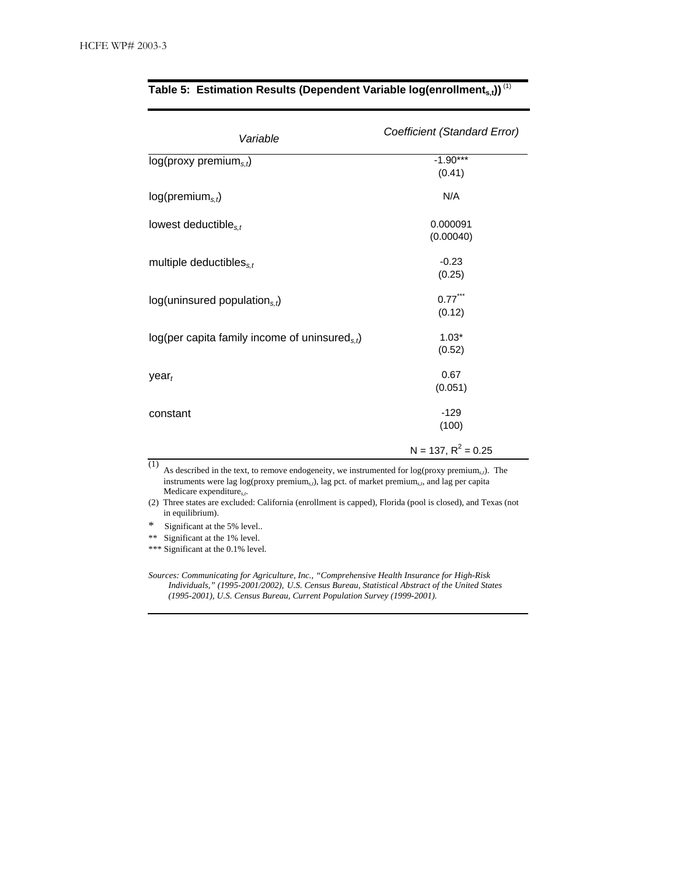| Variable                                             | Coefficient (Standard Error) |  |  |
|------------------------------------------------------|------------------------------|--|--|
| $log(prows$ premium <sub>s.t</sub> )                 | $-1.90***$<br>(0.41)         |  |  |
| $log(p$ remium <sub>s.t</sub> )                      | N/A                          |  |  |
| lowest deductible <sub>s,t</sub>                     | 0.000091<br>(0.00040)        |  |  |
| multiple deductibles $s_{s,t}$                       | $-0.23$<br>(0.25)            |  |  |
| $log$ (uninsured population <sub>s,t</sub> )         | $0.77$ ***<br>(0.12)         |  |  |
| log(per capita family income of uninsured $_{s,t}$ ) | $1.03*$<br>(0.52)            |  |  |
| year <sub>t</sub>                                    | 0.67<br>(0.051)              |  |  |
| constant                                             | $-129$<br>(100)              |  |  |
|                                                      | $N = 137, R^2 = 0.25$        |  |  |

### Table 5: Estimation Results (Dependent Variable log(enrollment<sub>s,t</sub>))<sup>(1)</sup>

(1) As described in the text, to remove endogeneity, we instrumented for log(proxy premium<sub>*st*</sub>). The instruments were lag log(proxy premium*s,t*), lag pct. of market premium*s,t*, and lag per capita Medicare expenditure*s,t*.

(2) Three states are excluded: California (enrollment is capped), Florida (pool is closed), and Texas (not in equilibrium).

\* Significant at the 5% level..

\*\* Significant at the 1% level.

\*\*\* Significant at the 0.1% level.

*Sources: Communicating for Agriculture, Inc., "Comprehensive Health Insurance for High-Risk Individuals," (1995-2001/2002), U.S. Census Bureau, Statistical Abstract of the United States (1995-2001), U.S. Census Bureau, Current Population Survey (1999-2001).*